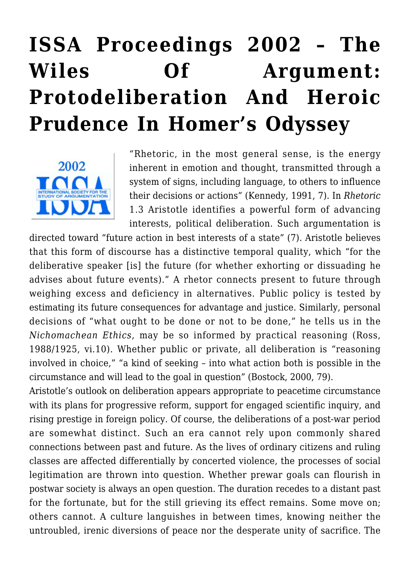# **[ISSA Proceedings 2002 – The](https://rozenbergquarterly.com/issa-proceedings-2002-the-wiles-of-argument-protodeliberation-and-heroic-prudence-in-homers-odyssey/) [Wiles Of Argument:](https://rozenbergquarterly.com/issa-proceedings-2002-the-wiles-of-argument-protodeliberation-and-heroic-prudence-in-homers-odyssey/) [Protodeliberation And Heroic](https://rozenbergquarterly.com/issa-proceedings-2002-the-wiles-of-argument-protodeliberation-and-heroic-prudence-in-homers-odyssey/) [Prudence In Homer's Odyssey](https://rozenbergquarterly.com/issa-proceedings-2002-the-wiles-of-argument-protodeliberation-and-heroic-prudence-in-homers-odyssey/)**



"Rhetoric, in the most general sense, is the energy inherent in emotion and thought, transmitted through a system of signs, including language, to others to influence their decisions or actions" (Kennedy, 1991, 7). In *Rhetoric* 1.3 Aristotle identifies a powerful form of advancing interests, political deliberation. Such argumentation is

directed toward "future action in best interests of a state" (7). Aristotle believes that this form of discourse has a distinctive temporal quality, which "for the deliberative speaker [is] the future (for whether exhorting or dissuading he advises about future events)." A rhetor connects present to future through weighing excess and deficiency in alternatives. Public policy is tested by estimating its future consequences for advantage and justice. Similarly, personal decisions of "what ought to be done or not to be done," he tells us in the *Nichomachean Ethics*, may be so informed by practical reasoning (Ross, 1988/1925, vi.10). Whether public or private, all deliberation is "reasoning involved in choice," "a kind of seeking – into what action both is possible in the circumstance and will lead to the goal in question" (Bostock, 2000, 79).

Aristotle's outlook on deliberation appears appropriate to peacetime circumstance with its plans for progressive reform, support for engaged scientific inquiry, and rising prestige in foreign policy. Of course, the deliberations of a post-war period are somewhat distinct. Such an era cannot rely upon commonly shared connections between past and future. As the lives of ordinary citizens and ruling classes are affected differentially by concerted violence, the processes of social legitimation are thrown into question. Whether prewar goals can flourish in postwar society is always an open question. The duration recedes to a distant past for the fortunate, but for the still grieving its effect remains. Some move on; others cannot. A culture languishes in between times, knowing neither the untroubled, irenic diversions of peace nor the desperate unity of sacrifice. The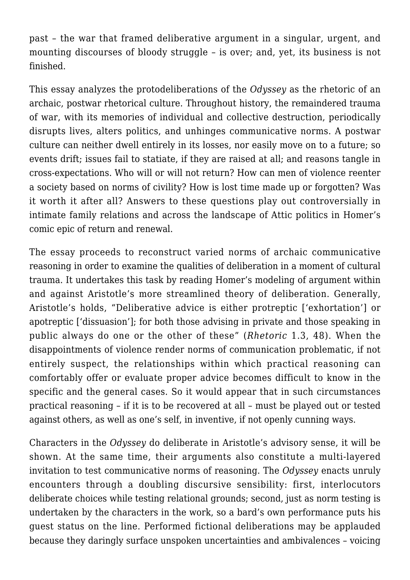past – the war that framed deliberative argument in a singular, urgent, and mounting discourses of bloody struggle – is over; and, yet, its business is not finished.

This essay analyzes the protodeliberations of the *Odyssey* as the rhetoric of an archaic, postwar rhetorical culture. Throughout history, the remaindered trauma of war, with its memories of individual and collective destruction, periodically disrupts lives, alters politics, and unhinges communicative norms. A postwar culture can neither dwell entirely in its losses, nor easily move on to a future; so events drift; issues fail to statiate, if they are raised at all; and reasons tangle in cross-expectations. Who will or will not return? How can men of violence reenter a society based on norms of civility? How is lost time made up or forgotten? Was it worth it after all? Answers to these questions play out controversially in intimate family relations and across the landscape of Attic politics in Homer's comic epic of return and renewal.

The essay proceeds to reconstruct varied norms of archaic communicative reasoning in order to examine the qualities of deliberation in a moment of cultural trauma. It undertakes this task by reading Homer's modeling of argument within and against Aristotle's more streamlined theory of deliberation. Generally, Aristotle's holds, "Deliberative advice is either protreptic ['exhortation'] or apotreptic ['dissuasion']; for both those advising in private and those speaking in public always do one or the other of these" (*Rhetoric* 1.3, 48). When the disappointments of violence render norms of communication problematic, if not entirely suspect, the relationships within which practical reasoning can comfortably offer or evaluate proper advice becomes difficult to know in the specific and the general cases. So it would appear that in such circumstances practical reasoning – if it is to be recovered at all – must be played out or tested against others, as well as one's self, in inventive, if not openly cunning ways.

Characters in the *Odyssey* do deliberate in Aristotle's advisory sense, it will be shown. At the same time, their arguments also constitute a multi-layered invitation to test communicative norms of reasoning. The *Odyssey* enacts unruly encounters through a doubling discursive sensibility: first, interlocutors deliberate choices while testing relational grounds; second, just as norm testing is undertaken by the characters in the work, so a bard's own performance puts his guest status on the line. Performed fictional deliberations may be applauded because they daringly surface unspoken uncertainties and ambivalences – voicing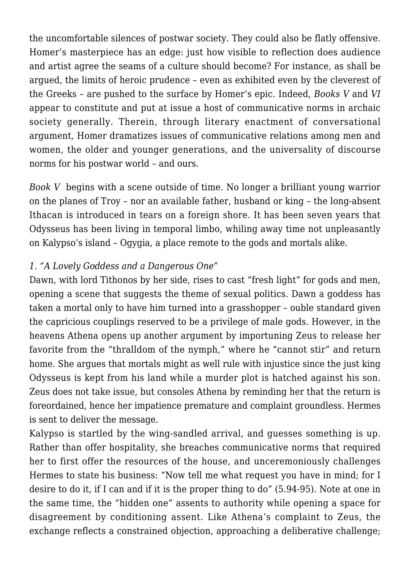the uncomfortable silences of postwar society. They could also be flatly offensive. Homer's masterpiece has an edge: just how visible to reflection does audience and artist agree the seams of a culture should become? For instance, as shall be argued, the limits of heroic prudence – even as exhibited even by the cleverest of the Greeks – are pushed to the surface by Homer's epic. Indeed, *Books V* and *VI* appear to constitute and put at issue a host of communicative norms in archaic society generally. Therein, through literary enactment of conversational argument, Homer dramatizes issues of communicative relations among men and women, the older and younger generations, and the universality of discourse norms for his postwar world – and ours.

*Book V* begins with a scene outside of time. No longer a brilliant young warrior on the planes of Troy – nor an available father, husband or king – the long-absent Ithacan is introduced in tears on a foreign shore. It has been seven years that Odysseus has been living in temporal limbo, whiling away time not unpleasantly on Kalypso's island – Ogygia, a place remote to the gods and mortals alike.

## *1. "A Lovely Goddess and a Dangerous One"*

Dawn, with lord Tithonos by her side, rises to cast "fresh light" for gods and men, opening a scene that suggests the theme of sexual politics. Dawn a goddess has taken a mortal only to have him turned into a grasshopper – ouble standard given the capricious couplings reserved to be a privilege of male gods. However, in the heavens Athena opens up another argument by importuning Zeus to release her favorite from the "thralldom of the nymph," where he "cannot stir" and return home. She argues that mortals might as well rule with injustice since the just king Odysseus is kept from his land while a murder plot is hatched against his son. Zeus does not take issue, but consoles Athena by reminding her that the return is foreordained, hence her impatience premature and complaint groundless. Hermes is sent to deliver the message.

Kalypso is startled by the wing-sandled arrival, and guesses something is up. Rather than offer hospitality, she breaches communicative norms that required her to first offer the resources of the house, and unceremoniously challenges Hermes to state his business: "Now tell me what request you have in mind; for I desire to do it, if I can and if it is the proper thing to do" (5.94-95). Note at one in the same time, the "hidden one" assents to authority while opening a space for disagreement by conditioning assent. Like Athena's complaint to Zeus, the exchange reflects a constrained objection, approaching a deliberative challenge;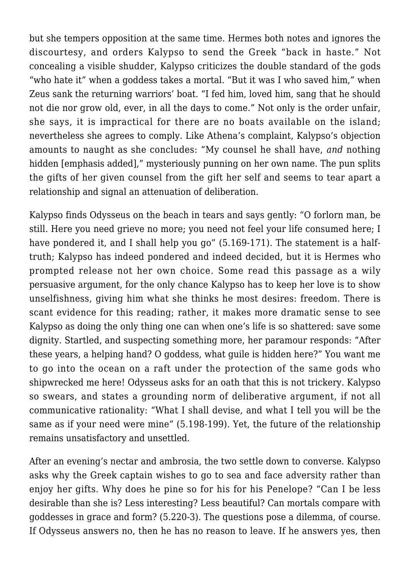but she tempers opposition at the same time. Hermes both notes and ignores the discourtesy, and orders Kalypso to send the Greek "back in haste." Not concealing a visible shudder, Kalypso criticizes the double standard of the gods "who hate it" when a goddess takes a mortal. "But it was I who saved him," when Zeus sank the returning warriors' boat. "I fed him, loved him, sang that he should not die nor grow old, ever, in all the days to come." Not only is the order unfair, she says, it is impractical for there are no boats available on the island; nevertheless she agrees to comply. Like Athena's complaint, Kalypso's objection amounts to naught as she concludes: "My counsel he shall have, *and* nothing hidden [emphasis added]," mysteriously punning on her own name. The pun splits the gifts of her given counsel from the gift her self and seems to tear apart a relationship and signal an attenuation of deliberation.

Kalypso finds Odysseus on the beach in tears and says gently: "O forlorn man, be still. Here you need grieve no more; you need not feel your life consumed here; I have pondered it, and I shall help you go" (5.169-171). The statement is a halftruth; Kalypso has indeed pondered and indeed decided, but it is Hermes who prompted release not her own choice. Some read this passage as a wily persuasive argument, for the only chance Kalypso has to keep her love is to show unselfishness, giving him what she thinks he most desires: freedom. There is scant evidence for this reading; rather, it makes more dramatic sense to see Kalypso as doing the only thing one can when one's life is so shattered: save some dignity. Startled, and suspecting something more, her paramour responds: "After these years, a helping hand? O goddess, what guile is hidden here?" You want me to go into the ocean on a raft under the protection of the same gods who shipwrecked me here! Odysseus asks for an oath that this is not trickery. Kalypso so swears, and states a grounding norm of deliberative argument, if not all communicative rationality: "What I shall devise, and what I tell you will be the same as if your need were mine" (5.198-199). Yet, the future of the relationship remains unsatisfactory and unsettled.

After an evening's nectar and ambrosia, the two settle down to converse. Kalypso asks why the Greek captain wishes to go to sea and face adversity rather than enjoy her gifts. Why does he pine so for his for his Penelope? "Can I be less desirable than she is? Less interesting? Less beautiful? Can mortals compare with goddesses in grace and form? (5.220-3). The questions pose a dilemma, of course. If Odysseus answers no, then he has no reason to leave. If he answers yes, then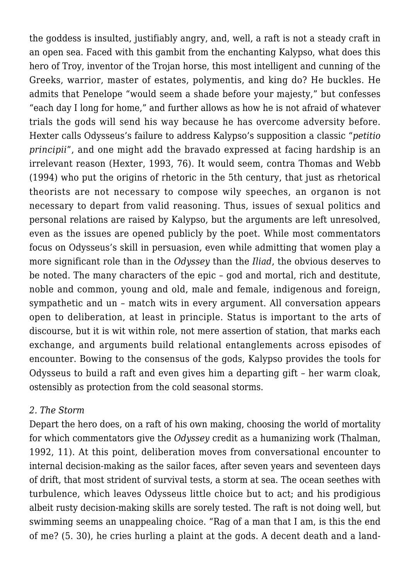the goddess is insulted, justifiably angry, and, well, a raft is not a steady craft in an open sea. Faced with this gambit from the enchanting Kalypso, what does this hero of Troy, inventor of the Trojan horse, this most intelligent and cunning of the Greeks, warrior, master of estates, polymentis, and king do? He buckles. He admits that Penelope "would seem a shade before your majesty," but confesses "each day I long for home," and further allows as how he is not afraid of whatever trials the gods will send his way because he has overcome adversity before. Hexter calls Odysseus's failure to address Kalypso's supposition a classic "*petitio principii*", and one might add the bravado expressed at facing hardship is an irrelevant reason (Hexter, 1993, 76). It would seem, contra Thomas and Webb (1994) who put the origins of rhetoric in the 5th century, that just as rhetorical theorists are not necessary to compose wily speeches, an organon is not necessary to depart from valid reasoning. Thus, issues of sexual politics and personal relations are raised by Kalypso, but the arguments are left unresolved, even as the issues are opened publicly by the poet. While most commentators focus on Odysseus's skill in persuasion, even while admitting that women play a more significant role than in the *Odyssey* than the *Iliad*, the obvious deserves to be noted. The many characters of the epic – god and mortal, rich and destitute, noble and common, young and old, male and female, indigenous and foreign, sympathetic and un – match wits in every argument. All conversation appears open to deliberation, at least in principle. Status is important to the arts of discourse, but it is wit within role, not mere assertion of station, that marks each exchange, and arguments build relational entanglements across episodes of encounter. Bowing to the consensus of the gods, Kalypso provides the tools for Odysseus to build a raft and even gives him a departing gift – her warm cloak, ostensibly as protection from the cold seasonal storms.

#### *2. The Storm*

Depart the hero does, on a raft of his own making, choosing the world of mortality for which commentators give the *Odyssey* credit as a humanizing work (Thalman, 1992, 11). At this point, deliberation moves from conversational encounter to internal decision-making as the sailor faces, after seven years and seventeen days of drift, that most strident of survival tests, a storm at sea. The ocean seethes with turbulence, which leaves Odysseus little choice but to act; and his prodigious albeit rusty decision-making skills are sorely tested. The raft is not doing well, but swimming seems an unappealing choice. "Rag of a man that I am, is this the end of me? (5. 30), he cries hurling a plaint at the gods. A decent death and a land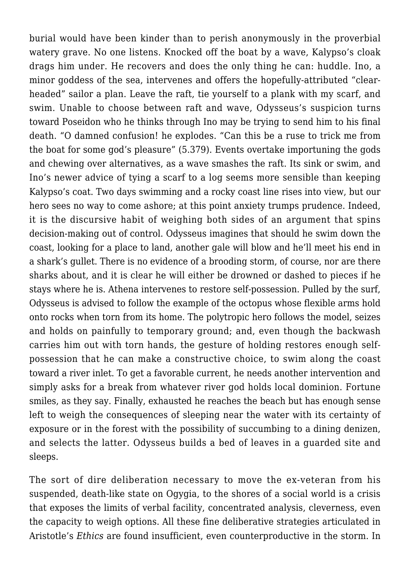burial would have been kinder than to perish anonymously in the proverbial watery grave. No one listens. Knocked off the boat by a wave, Kalypso's cloak drags him under. He recovers and does the only thing he can: huddle. Ino, a minor goddess of the sea, intervenes and offers the hopefully-attributed "clearheaded" sailor a plan. Leave the raft, tie yourself to a plank with my scarf, and swim. Unable to choose between raft and wave, Odysseus's suspicion turns toward Poseidon who he thinks through Ino may be trying to send him to his final death. "O damned confusion! he explodes. "Can this be a ruse to trick me from the boat for some god's pleasure" (5.379). Events overtake importuning the gods and chewing over alternatives, as a wave smashes the raft. Its sink or swim, and Ino's newer advice of tying a scarf to a log seems more sensible than keeping Kalypso's coat. Two days swimming and a rocky coast line rises into view, but our hero sees no way to come ashore; at this point anxiety trumps prudence. Indeed, it is the discursive habit of weighing both sides of an argument that spins decision-making out of control. Odysseus imagines that should he swim down the coast, looking for a place to land, another gale will blow and he'll meet his end in a shark's gullet. There is no evidence of a brooding storm, of course, nor are there sharks about, and it is clear he will either be drowned or dashed to pieces if he stays where he is. Athena intervenes to restore self-possession. Pulled by the surf, Odysseus is advised to follow the example of the octopus whose flexible arms hold onto rocks when torn from its home. The polytropic hero follows the model, seizes and holds on painfully to temporary ground; and, even though the backwash carries him out with torn hands, the gesture of holding restores enough selfpossession that he can make a constructive choice, to swim along the coast toward a river inlet. To get a favorable current, he needs another intervention and simply asks for a break from whatever river god holds local dominion. Fortune smiles, as they say. Finally, exhausted he reaches the beach but has enough sense left to weigh the consequences of sleeping near the water with its certainty of exposure or in the forest with the possibility of succumbing to a dining denizen, and selects the latter. Odysseus builds a bed of leaves in a guarded site and sleeps.

The sort of dire deliberation necessary to move the ex-veteran from his suspended, death-like state on Ogygia, to the shores of a social world is a crisis that exposes the limits of verbal facility, concentrated analysis, cleverness, even the capacity to weigh options. All these fine deliberative strategies articulated in Aristotle's *Ethics* are found insufficient, even counterproductive in the storm. In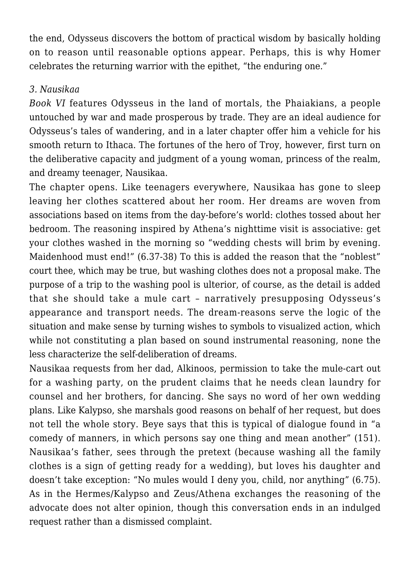the end, Odysseus discovers the bottom of practical wisdom by basically holding on to reason until reasonable options appear. Perhaps, this is why Homer celebrates the returning warrior with the epithet, "the enduring one."

### *3. Nausikaa*

*Book VI* features Odysseus in the land of mortals, the Phaiakians, a people untouched by war and made prosperous by trade. They are an ideal audience for Odysseus's tales of wandering, and in a later chapter offer him a vehicle for his smooth return to Ithaca. The fortunes of the hero of Troy, however, first turn on the deliberative capacity and judgment of a young woman, princess of the realm, and dreamy teenager, Nausikaa.

The chapter opens. Like teenagers everywhere, Nausikaa has gone to sleep leaving her clothes scattered about her room. Her dreams are woven from associations based on items from the day-before's world: clothes tossed about her bedroom. The reasoning inspired by Athena's nighttime visit is associative: get your clothes washed in the morning so "wedding chests will brim by evening. Maidenhood must end!" (6.37-38) To this is added the reason that the "noblest" court thee, which may be true, but washing clothes does not a proposal make. The purpose of a trip to the washing pool is ulterior, of course, as the detail is added that she should take a mule cart – narratively presupposing Odysseus's appearance and transport needs. The dream-reasons serve the logic of the situation and make sense by turning wishes to symbols to visualized action, which while not constituting a plan based on sound instrumental reasoning, none the less characterize the self-deliberation of dreams.

Nausikaa requests from her dad, Alkinoos, permission to take the mule-cart out for a washing party, on the prudent claims that he needs clean laundry for counsel and her brothers, for dancing. She says no word of her own wedding plans. Like Kalypso, she marshals good reasons on behalf of her request, but does not tell the whole story. Beye says that this is typical of dialogue found in "a comedy of manners, in which persons say one thing and mean another" (151). Nausikaa's father, sees through the pretext (because washing all the family clothes is a sign of getting ready for a wedding), but loves his daughter and doesn't take exception: "No mules would I deny you, child, nor anything" (6.75). As in the Hermes/Kalypso and Zeus/Athena exchanges the reasoning of the advocate does not alter opinion, though this conversation ends in an indulged request rather than a dismissed complaint.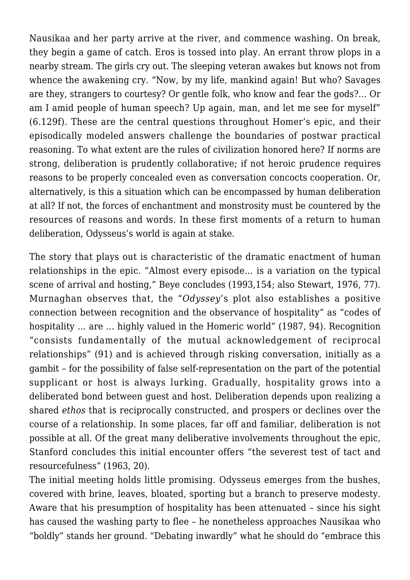Nausikaa and her party arrive at the river, and commence washing. On break, they begin a game of catch. Eros is tossed into play. An errant throw plops in a nearby stream. The girls cry out. The sleeping veteran awakes but knows not from whence the awakening cry. "Now, by my life, mankind again! But who? Savages are they, strangers to courtesy? Or gentle folk, who know and fear the gods?… Or am I amid people of human speech? Up again, man, and let me see for myself" (6.129f). These are the central questions throughout Homer's epic, and their episodically modeled answers challenge the boundaries of postwar practical reasoning. To what extent are the rules of civilization honored here? If norms are strong, deliberation is prudently collaborative; if not heroic prudence requires reasons to be properly concealed even as conversation concocts cooperation. Or, alternatively, is this a situation which can be encompassed by human deliberation at all? If not, the forces of enchantment and monstrosity must be countered by the resources of reasons and words. In these first moments of a return to human deliberation, Odysseus's world is again at stake.

The story that plays out is characteristic of the dramatic enactment of human relationships in the epic. "Almost every episode… is a variation on the typical scene of arrival and hosting," Beye concludes (1993,154; also Stewart, 1976, 77). Murnaghan observes that, the "*Odyssey*'s plot also establishes a positive connection between recognition and the observance of hospitality" as "codes of hospitality … are … highly valued in the Homeric world" (1987, 94). Recognition "consists fundamentally of the mutual acknowledgement of reciprocal relationships" (91) and is achieved through risking conversation, initially as a gambit – for the possibility of false self-representation on the part of the potential supplicant or host is always lurking. Gradually, hospitality grows into a deliberated bond between guest and host. Deliberation depends upon realizing a shared *ethos* that is reciprocally constructed, and prospers or declines over the course of a relationship. In some places, far off and familiar, deliberation is not possible at all. Of the great many deliberative involvements throughout the epic, Stanford concludes this initial encounter offers "the severest test of tact and resourcefulness" (1963, 20).

The initial meeting holds little promising. Odysseus emerges from the bushes, covered with brine, leaves, bloated, sporting but a branch to preserve modesty. Aware that his presumption of hospitality has been attenuated – since his sight has caused the washing party to flee – he nonetheless approaches Nausikaa who "boldly" stands her ground. "Debating inwardly" what he should do "embrace this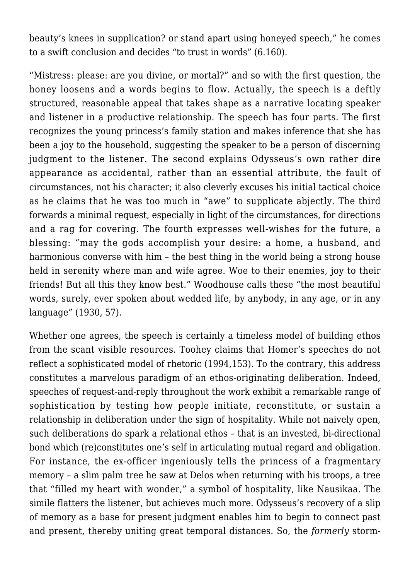beauty's knees in supplication? or stand apart using honeyed speech," he comes to a swift conclusion and decides "to trust in words" (6.160).

"Mistress: please: are you divine, or mortal?" and so with the first question, the honey loosens and a words begins to flow. Actually, the speech is a deftly structured, reasonable appeal that takes shape as a narrative locating speaker and listener in a productive relationship. The speech has four parts. The first recognizes the young princess's family station and makes inference that she has been a joy to the household, suggesting the speaker to be a person of discerning judgment to the listener. The second explains Odysseus's own rather dire appearance as accidental, rather than an essential attribute, the fault of circumstances, not his character; it also cleverly excuses his initial tactical choice as he claims that he was too much in "awe" to supplicate abjectly. The third forwards a minimal request, especially in light of the circumstances, for directions and a rag for covering. The fourth expresses well-wishes for the future, a blessing: "may the gods accomplish your desire: a home, a husband, and harmonious converse with him – the best thing in the world being a strong house held in serenity where man and wife agree. Woe to their enemies, joy to their friends! But all this they know best." Woodhouse calls these "the most beautiful words, surely, ever spoken about wedded life, by anybody, in any age, or in any language" (1930, 57).

Whether one agrees, the speech is certainly a timeless model of building ethos from the scant visible resources. Toohey claims that Homer's speeches do not reflect a sophisticated model of rhetoric (1994,153). To the contrary, this address constitutes a marvelous paradigm of an ethos-originating deliberation. Indeed, speeches of request-and-reply throughout the work exhibit a remarkable range of sophistication by testing how people initiate, reconstitute, or sustain a relationship in deliberation under the sign of hospitality. While not naively open, such deliberations do spark a relational ethos – that is an invested, bi-directional bond which (re)constitutes one's self in articulating mutual regard and obligation. For instance, the ex-officer ingeniously tells the princess of a fragmentary memory – a slim palm tree he saw at Delos when returning with his troops, a tree that "filled my heart with wonder," a symbol of hospitality, like Nausikaa. The simile flatters the listener, but achieves much more. Odysseus's recovery of a slip of memory as a base for present judgment enables him to begin to connect past and present, thereby uniting great temporal distances. So, the *formerly* storm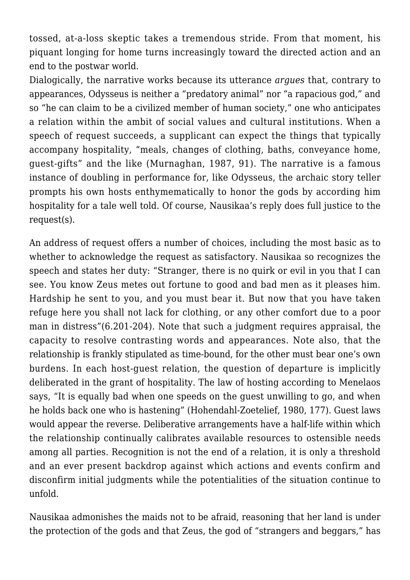tossed, at-a-loss skeptic takes a tremendous stride. From that moment, his piquant longing for home turns increasingly toward the directed action and an end to the postwar world.

Dialogically, the narrative works because its utterance *argues* that, contrary to appearances, Odysseus is neither a "predatory animal" nor "a rapacious god," and so "he can claim to be a civilized member of human society," one who anticipates a relation within the ambit of social values and cultural institutions. When a speech of request succeeds, a supplicant can expect the things that typically accompany hospitality, "meals, changes of clothing, baths, conveyance home, guest-gifts" and the like (Murnaghan, 1987, 91). The narrative is a famous instance of doubling in performance for, like Odysseus, the archaic story teller prompts his own hosts enthymematically to honor the gods by according him hospitality for a tale well told. Of course, Nausikaa's reply does full justice to the request(s).

An address of request offers a number of choices, including the most basic as to whether to acknowledge the request as satisfactory. Nausikaa so recognizes the speech and states her duty: "Stranger, there is no quirk or evil in you that I can see. You know Zeus metes out fortune to good and bad men as it pleases him. Hardship he sent to you, and you must bear it. But now that you have taken refuge here you shall not lack for clothing, or any other comfort due to a poor man in distress"(6.201-204). Note that such a judgment requires appraisal, the capacity to resolve contrasting words and appearances. Note also, that the relationship is frankly stipulated as time-bound, for the other must bear one's own burdens. In each host-guest relation, the question of departure is implicitly deliberated in the grant of hospitality. The law of hosting according to Menelaos says, "It is equally bad when one speeds on the guest unwilling to go, and when he holds back one who is hastening" (Hohendahl-Zoetelief, 1980, 177). Guest laws would appear the reverse. Deliberative arrangements have a half-life within which the relationship continually calibrates available resources to ostensible needs among all parties. Recognition is not the end of a relation, it is only a threshold and an ever present backdrop against which actions and events confirm and disconfirm initial judgments while the potentialities of the situation continue to unfold.

Nausikaa admonishes the maids not to be afraid, reasoning that her land is under the protection of the gods and that Zeus, the god of "strangers and beggars," has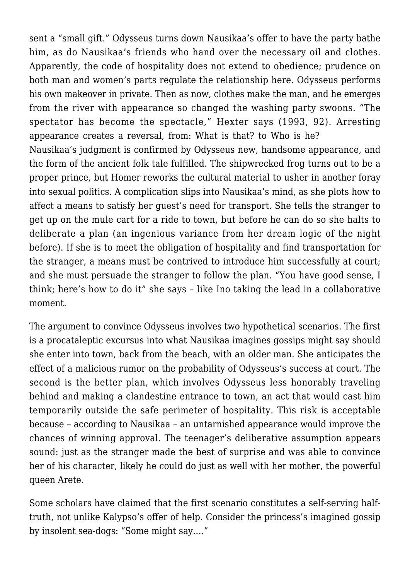sent a "small gift." Odysseus turns down Nausikaa's offer to have the party bathe him, as do Nausikaa's friends who hand over the necessary oil and clothes. Apparently, the code of hospitality does not extend to obedience; prudence on both man and women's parts regulate the relationship here. Odysseus performs his own makeover in private. Then as now, clothes make the man, and he emerges from the river with appearance so changed the washing party swoons. "The spectator has become the spectacle," Hexter says (1993, 92). Arresting appearance creates a reversal, from: What is that? to Who is he?

Nausikaa's judgment is confirmed by Odysseus new, handsome appearance, and the form of the ancient folk tale fulfilled. The shipwrecked frog turns out to be a proper prince, but Homer reworks the cultural material to usher in another foray into sexual politics. A complication slips into Nausikaa's mind, as she plots how to affect a means to satisfy her guest's need for transport. She tells the stranger to get up on the mule cart for a ride to town, but before he can do so she halts to deliberate a plan (an ingenious variance from her dream logic of the night before). If she is to meet the obligation of hospitality and find transportation for the stranger, a means must be contrived to introduce him successfully at court; and she must persuade the stranger to follow the plan. "You have good sense, I think; here's how to do it" she says – like Ino taking the lead in a collaborative moment.

The argument to convince Odysseus involves two hypothetical scenarios. The first is a procataleptic excursus into what Nausikaa imagines gossips might say should she enter into town, back from the beach, with an older man. She anticipates the effect of a malicious rumor on the probability of Odysseus's success at court. The second is the better plan, which involves Odysseus less honorably traveling behind and making a clandestine entrance to town, an act that would cast him temporarily outside the safe perimeter of hospitality. This risk is acceptable because – according to Nausikaa – an untarnished appearance would improve the chances of winning approval. The teenager's deliberative assumption appears sound: just as the stranger made the best of surprise and was able to convince her of his character, likely he could do just as well with her mother, the powerful queen Arete.

Some scholars have claimed that the first scenario constitutes a self-serving halftruth, not unlike Kalypso's offer of help. Consider the princess's imagined gossip by insolent sea-dogs: "Some might say…."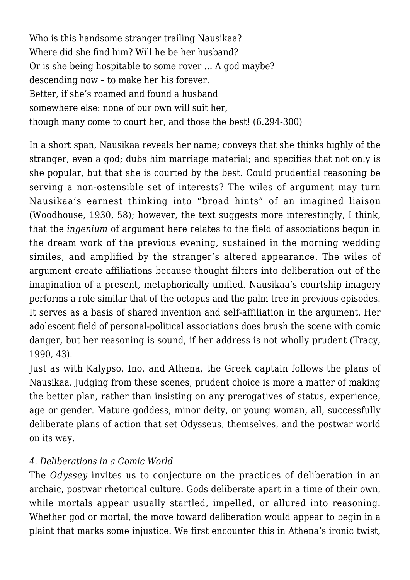Who is this handsome stranger trailing Nausikaa? Where did she find him? Will he be her husband? Or is she being hospitable to some rover … A god maybe? descending now – to make her his forever. Better, if she's roamed and found a husband somewhere else: none of our own will suit her, though many come to court her, and those the best! (6.294-300)

In a short span, Nausikaa reveals her name; conveys that she thinks highly of the stranger, even a god; dubs him marriage material; and specifies that not only is she popular, but that she is courted by the best. Could prudential reasoning be serving a non-ostensible set of interests? The wiles of argument may turn Nausikaa's earnest thinking into "broad hints" of an imagined liaison (Woodhouse, 1930, 58); however, the text suggests more interestingly, I think, that the *ingenium* of argument here relates to the field of associations begun in the dream work of the previous evening, sustained in the morning wedding similes, and amplified by the stranger's altered appearance. The wiles of argument create affiliations because thought filters into deliberation out of the imagination of a present, metaphorically unified. Nausikaa's courtship imagery performs a role similar that of the octopus and the palm tree in previous episodes. It serves as a basis of shared invention and self-affiliation in the argument. Her adolescent field of personal-political associations does brush the scene with comic danger, but her reasoning is sound, if her address is not wholly prudent (Tracy, 1990, 43).

Just as with Kalypso, Ino, and Athena, the Greek captain follows the plans of Nausikaa. Judging from these scenes, prudent choice is more a matter of making the better plan, rather than insisting on any prerogatives of status, experience, age or gender. Mature goddess, minor deity, or young woman, all, successfully deliberate plans of action that set Odysseus, themselves, and the postwar world on its way.

## *4. Deliberations in a Comic World*

The *Odyssey* invites us to conjecture on the practices of deliberation in an archaic, postwar rhetorical culture. Gods deliberate apart in a time of their own, while mortals appear usually startled, impelled, or allured into reasoning. Whether god or mortal, the move toward deliberation would appear to begin in a plaint that marks some injustice. We first encounter this in Athena's ironic twist,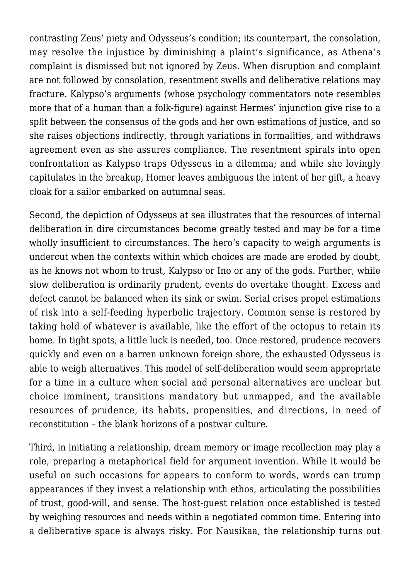contrasting Zeus' piety and Odysseus's condition; its counterpart, the consolation, may resolve the injustice by diminishing a plaint's significance, as Athena's complaint is dismissed but not ignored by Zeus. When disruption and complaint are not followed by consolation, resentment swells and deliberative relations may fracture. Kalypso's arguments (whose psychology commentators note resembles more that of a human than a folk-figure) against Hermes' injunction give rise to a split between the consensus of the gods and her own estimations of justice, and so she raises objections indirectly, through variations in formalities, and withdraws agreement even as she assures compliance. The resentment spirals into open confrontation as Kalypso traps Odysseus in a dilemma; and while she lovingly capitulates in the breakup, Homer leaves ambiguous the intent of her gift, a heavy cloak for a sailor embarked on autumnal seas.

Second, the depiction of Odysseus at sea illustrates that the resources of internal deliberation in dire circumstances become greatly tested and may be for a time wholly insufficient to circumstances. The hero's capacity to weigh arguments is undercut when the contexts within which choices are made are eroded by doubt, as he knows not whom to trust, Kalypso or Ino or any of the gods. Further, while slow deliberation is ordinarily prudent, events do overtake thought. Excess and defect cannot be balanced when its sink or swim. Serial crises propel estimations of risk into a self-feeding hyperbolic trajectory. Common sense is restored by taking hold of whatever is available, like the effort of the octopus to retain its home. In tight spots, a little luck is needed, too. Once restored, prudence recovers quickly and even on a barren unknown foreign shore, the exhausted Odysseus is able to weigh alternatives. This model of self-deliberation would seem appropriate for a time in a culture when social and personal alternatives are unclear but choice imminent, transitions mandatory but unmapped, and the available resources of prudence, its habits, propensities, and directions, in need of reconstitution – the blank horizons of a postwar culture.

Third, in initiating a relationship, dream memory or image recollection may play a role, preparing a metaphorical field for argument invention. While it would be useful on such occasions for appears to conform to words, words can trump appearances if they invest a relationship with ethos, articulating the possibilities of trust, good-will, and sense. The host-guest relation once established is tested by weighing resources and needs within a negotiated common time. Entering into a deliberative space is always risky. For Nausikaa, the relationship turns out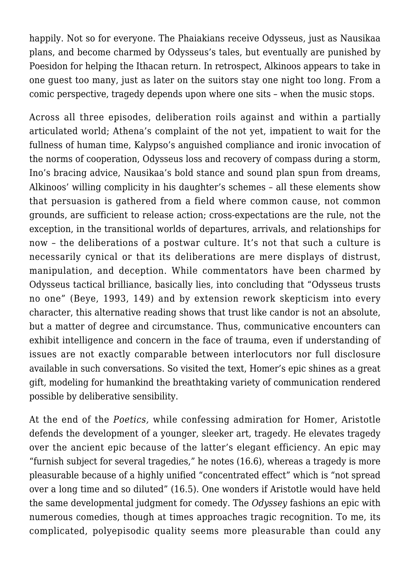happily. Not so for everyone. The Phaiakians receive Odysseus, just as Nausikaa plans, and become charmed by Odysseus's tales, but eventually are punished by Poesidon for helping the Ithacan return. In retrospect, Alkinoos appears to take in one guest too many, just as later on the suitors stay one night too long. From a comic perspective, tragedy depends upon where one sits – when the music stops.

Across all three episodes, deliberation roils against and within a partially articulated world; Athena's complaint of the not yet, impatient to wait for the fullness of human time, Kalypso's anguished compliance and ironic invocation of the norms of cooperation, Odysseus loss and recovery of compass during a storm, Ino's bracing advice, Nausikaa's bold stance and sound plan spun from dreams, Alkinoos' willing complicity in his daughter's schemes – all these elements show that persuasion is gathered from a field where common cause, not common grounds, are sufficient to release action; cross-expectations are the rule, not the exception, in the transitional worlds of departures, arrivals, and relationships for now – the deliberations of a postwar culture. It's not that such a culture is necessarily cynical or that its deliberations are mere displays of distrust, manipulation, and deception. While commentators have been charmed by Odysseus tactical brilliance, basically lies, into concluding that "Odysseus trusts no one" (Beye, 1993, 149) and by extension rework skepticism into every character, this alternative reading shows that trust like candor is not an absolute, but a matter of degree and circumstance. Thus, communicative encounters can exhibit intelligence and concern in the face of trauma, even if understanding of issues are not exactly comparable between interlocutors nor full disclosure available in such conversations. So visited the text, Homer's epic shines as a great gift, modeling for humankind the breathtaking variety of communication rendered possible by deliberative sensibility.

At the end of the *Poetics,* while confessing admiration for Homer, Aristotle defends the development of a younger, sleeker art, tragedy. He elevates tragedy over the ancient epic because of the latter's elegant efficiency. An epic may "furnish subject for several tragedies," he notes (16.6), whereas a tragedy is more pleasurable because of a highly unified "concentrated effect" which is "not spread over a long time and so diluted" (16.5). One wonders if Aristotle would have held the same developmental judgment for comedy. The *Odyssey* fashions an epic with numerous comedies, though at times approaches tragic recognition. To me, its complicated, polyepisodic quality seems more pleasurable than could any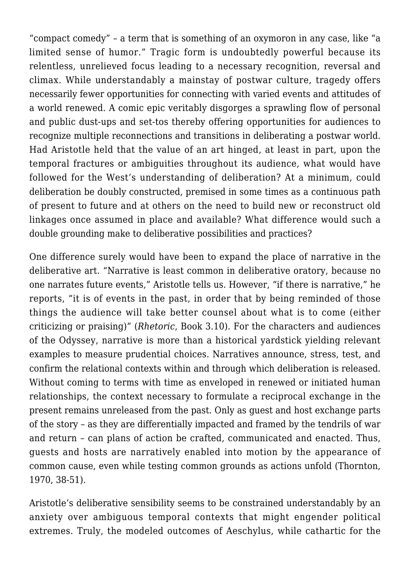"compact comedy" – a term that is something of an oxymoron in any case, like "a limited sense of humor." Tragic form is undoubtedly powerful because its relentless, unrelieved focus leading to a necessary recognition, reversal and climax. While understandably a mainstay of postwar culture, tragedy offers necessarily fewer opportunities for connecting with varied events and attitudes of a world renewed. A comic epic veritably disgorges a sprawling flow of personal and public dust-ups and set-tos thereby offering opportunities for audiences to recognize multiple reconnections and transitions in deliberating a postwar world. Had Aristotle held that the value of an art hinged, at least in part, upon the temporal fractures or ambiguities throughout its audience, what would have followed for the West's understanding of deliberation? At a minimum, could deliberation be doubly constructed, premised in some times as a continuous path of present to future and at others on the need to build new or reconstruct old linkages once assumed in place and available? What difference would such a double grounding make to deliberative possibilities and practices?

One difference surely would have been to expand the place of narrative in the deliberative art. "Narrative is least common in deliberative oratory, because no one narrates future events," Aristotle tells us. However, "if there is narrative," he reports, "it is of events in the past, in order that by being reminded of those things the audience will take better counsel about what is to come (either criticizing or praising)" (*Rhetoric*, Book 3.10). For the characters and audiences of the Odyssey, narrative is more than a historical yardstick yielding relevant examples to measure prudential choices. Narratives announce, stress, test, and confirm the relational contexts within and through which deliberation is released. Without coming to terms with time as enveloped in renewed or initiated human relationships, the context necessary to formulate a reciprocal exchange in the present remains unreleased from the past. Only as guest and host exchange parts of the story – as they are differentially impacted and framed by the tendrils of war and return – can plans of action be crafted, communicated and enacted. Thus, guests and hosts are narratively enabled into motion by the appearance of common cause, even while testing common grounds as actions unfold (Thornton, 1970, 38-51).

Aristotle's deliberative sensibility seems to be constrained understandably by an anxiety over ambiguous temporal contexts that might engender political extremes. Truly, the modeled outcomes of Aeschylus, while cathartic for the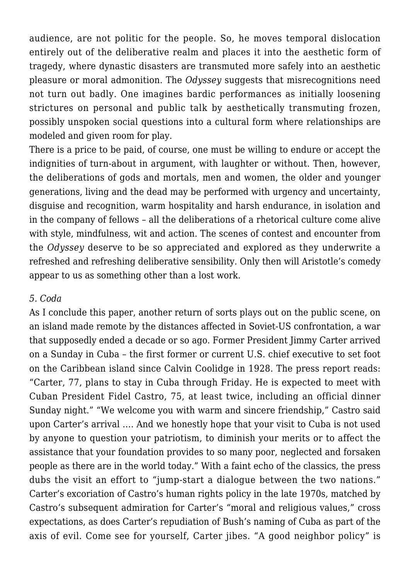audience, are not politic for the people. So, he moves temporal dislocation entirely out of the deliberative realm and places it into the aesthetic form of tragedy, where dynastic disasters are transmuted more safely into an aesthetic pleasure or moral admonition. The *Odyssey* suggests that misrecognitions need not turn out badly. One imagines bardic performances as initially loosening strictures on personal and public talk by aesthetically transmuting frozen, possibly unspoken social questions into a cultural form where relationships are modeled and given room for play.

There is a price to be paid, of course, one must be willing to endure or accept the indignities of turn-about in argument, with laughter or without. Then, however, the deliberations of gods and mortals, men and women, the older and younger generations, living and the dead may be performed with urgency and uncertainty, disguise and recognition, warm hospitality and harsh endurance, in isolation and in the company of fellows – all the deliberations of a rhetorical culture come alive with style, mindfulness, wit and action. The scenes of contest and encounter from the *Odyssey* deserve to be so appreciated and explored as they underwrite a refreshed and refreshing deliberative sensibility. Only then will Aristotle's comedy appear to us as something other than a lost work.

### *5. Coda*

As I conclude this paper, another return of sorts plays out on the public scene, on an island made remote by the distances affected in Soviet-US confrontation, a war that supposedly ended a decade or so ago. Former President Jimmy Carter arrived on a Sunday in Cuba – the first former or current U.S. chief executive to set foot on the Caribbean island since Calvin Coolidge in 1928. The press report reads: "Carter, 77, plans to stay in Cuba through Friday. He is expected to meet with Cuban President Fidel Castro, 75, at least twice, including an official dinner Sunday night." "We welcome you with warm and sincere friendship," Castro said upon Carter's arrival …. And we honestly hope that your visit to Cuba is not used by anyone to question your patriotism, to diminish your merits or to affect the assistance that your foundation provides to so many poor, neglected and forsaken people as there are in the world today." With a faint echo of the classics, the press dubs the visit an effort to "jump-start a dialogue between the two nations." Carter's excoriation of Castro's human rights policy in the late 1970s, matched by Castro's subsequent admiration for Carter's "moral and religious values," cross expectations, as does Carter's repudiation of Bush's naming of Cuba as part of the axis of evil. Come see for yourself, Carter jibes. "A good neighbor policy" is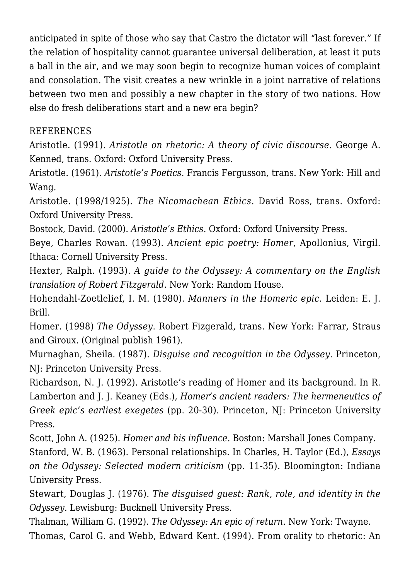anticipated in spite of those who say that Castro the dictator will "last forever." If the relation of hospitality cannot guarantee universal deliberation, at least it puts a ball in the air, and we may soon begin to recognize human voices of complaint and consolation. The visit creates a new wrinkle in a joint narrative of relations between two men and possibly a new chapter in the story of two nations. How else do fresh deliberations start and a new era begin?

## REFERENCES

Aristotle. (1991). *Aristotle on rhetoric: A theory of civic discourse*. George A. Kenned, trans. Oxford: Oxford University Press.

Aristotle. (1961). *Aristotle's Poetics*. Francis Fergusson, trans. New York: Hill and Wang.

Aristotle. (1998/1925). *The Nicomachean Ethics*. David Ross, trans. Oxford: Oxford University Press.

Bostock, David. (2000). *Aristotle's Ethics.* Oxford: Oxford University Press.

Beye, Charles Rowan. (1993). *Ancient epic poetry: Homer*, Apollonius, Virgil. Ithaca: Cornell University Press.

Hexter, Ralph. (1993). *A guide to the Odyssey: A commentary on the English translation of Robert Fitzgerald*. New York: Random House.

Hohendahl-Zoetlelief, I. M. (1980). *Manners in the Homeric epic.* Leiden: E. J. Brill.

Homer. (1998) *The Odyssey*. Robert Fizgerald, trans. New York: Farrar, Straus and Giroux. (Original publish 1961).

Murnaghan, Sheila. (1987). *Disguise and recognition in the Odyssey.* Princeton, NJ: Princeton University Press.

Richardson, N. J. (1992). Aristotle's reading of Homer and its background. In R. Lamberton and J. J. Keaney (Eds.), *Homer's ancient readers: The hermeneutics of Greek epic's earliest exegetes* (pp. 20-30). Princeton, NJ: Princeton University Press.

Scott, John A. (1925). *Homer and his influence*. Boston: Marshall Jones Company.

Stanford, W. B. (1963). Personal relationships. In Charles, H. Taylor (Ed.), *Essays on the Odyssey: Selected modern criticism* (pp. 11-35). Bloomington: Indiana University Press.

Stewart, Douglas J. (1976). *The disguised guest: Rank, role, and identity in the Odyssey.* Lewisburg: Bucknell University Press.

Thalman, William G. (1992). *The Odyssey: An epic of return*. New York: Twayne. Thomas, Carol G. and Webb, Edward Kent. (1994). From orality to rhetoric: An